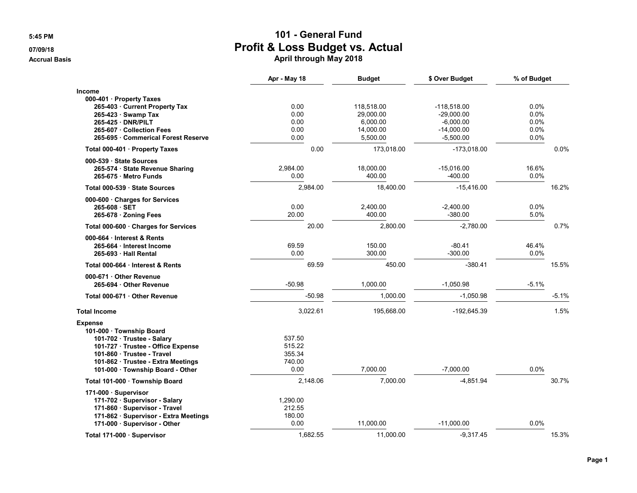|                                                                                                                                                                                                                    | Apr - May 18                                 | <b>Budget</b>                                                | \$ Over Budget                                                              | % of Budget                          |
|--------------------------------------------------------------------------------------------------------------------------------------------------------------------------------------------------------------------|----------------------------------------------|--------------------------------------------------------------|-----------------------------------------------------------------------------|--------------------------------------|
| <b>Income</b><br>000-401 · Property Taxes<br>265-403 Current Property Tax<br>265-423 · Swamp Tax<br>265-425 DNR/PILT<br>265-607 Collection Fees<br>265-695 Commerical Forest Reserve                               | 0.00<br>0.00<br>0.00<br>0.00<br>0.00         | 118,518.00<br>29,000.00<br>6,000.00<br>14,000.00<br>5,500.00 | $-118.518.00$<br>$-29,000.00$<br>$-6,000.00$<br>$-14,000.00$<br>$-5,500.00$ | 0.0%<br>0.0%<br>0.0%<br>0.0%<br>0.0% |
| Total 000-401 · Property Taxes                                                                                                                                                                                     | 0.00                                         | 173,018.00                                                   | $-173,018.00$                                                               | 0.0%                                 |
| 000-539 · State Sources<br>265-574 · State Revenue Sharing<br>265-675 Metro Funds                                                                                                                                  | 2,984.00<br>0.00                             | 18,000.00<br>400.00                                          | $-15,016.00$<br>$-400.00$                                                   | 16.6%<br>0.0%                        |
| Total 000-539 · State Sources                                                                                                                                                                                      | 2,984.00                                     | 18,400.00                                                    | $-15,416.00$                                                                | 16.2%                                |
| 000-600 Charges for Services<br>$265-608 \cdot SET$<br>265-678 · Zoning Fees                                                                                                                                       | 0.00<br>20.00                                | 2,400.00<br>400.00                                           | $-2,400.00$<br>$-380.00$                                                    | 0.0%<br>5.0%                         |
| Total 000-600 · Charges for Services                                                                                                                                                                               | 20.00                                        | 2,800.00                                                     | $-2,780.00$                                                                 | 0.7%                                 |
| 000-664 Interest & Rents<br>265-664 · Interest Income<br>265-693 Hall Rental                                                                                                                                       | 69.59<br>0.00                                | 150.00<br>300.00                                             | $-80.41$<br>$-300.00$                                                       | 46.4%<br>0.0%                        |
| Total 000-664 · Interest & Rents                                                                                                                                                                                   | 69.59                                        | 450.00                                                       | $-380.41$                                                                   | 15.5%                                |
| 000-671 · Other Revenue<br>265-694 Other Revenue                                                                                                                                                                   | $-50.98$                                     | 1,000.00                                                     | $-1,050.98$                                                                 | $-5.1%$                              |
| Total 000-671 Other Revenue                                                                                                                                                                                        | $-50.98$                                     | 1.000.00                                                     | $-1.050.98$                                                                 | $-5.1%$                              |
| <b>Total Income</b>                                                                                                                                                                                                | 3,022.61                                     | 195,668.00                                                   | -192,645.39                                                                 | 1.5%                                 |
| <b>Expense</b><br>101-000 · Township Board<br>101-702 · Trustee - Salary<br>101-727 Trustee - Office Expense<br>101-860 Trustee - Travel<br>101-862 · Trustee - Extra Meetings<br>101-000 · Township Board - Other | 537.50<br>515.22<br>355.34<br>740.00<br>0.00 | 7,000.00                                                     | $-7,000.00$                                                                 | 0.0%                                 |
| Total 101-000 · Township Board                                                                                                                                                                                     | 2,148.06                                     | 7,000.00                                                     | $-4,851.94$                                                                 | 30.7%                                |
| 171-000 · Supervisor<br>171-702 · Supervisor - Salary<br>171-860 · Supervisor - Travel<br>171-862 · Supervisor - Extra Meetings<br>171-000 · Supervisor - Other                                                    | 1,290.00<br>212.55<br>180.00<br>0.00         | 11,000.00                                                    | $-11,000.00$                                                                | 0.0%                                 |
| Total 171-000 · Supervisor                                                                                                                                                                                         | 1.682.55                                     | 11,000.00                                                    | $-9.317.45$                                                                 | 15.3%                                |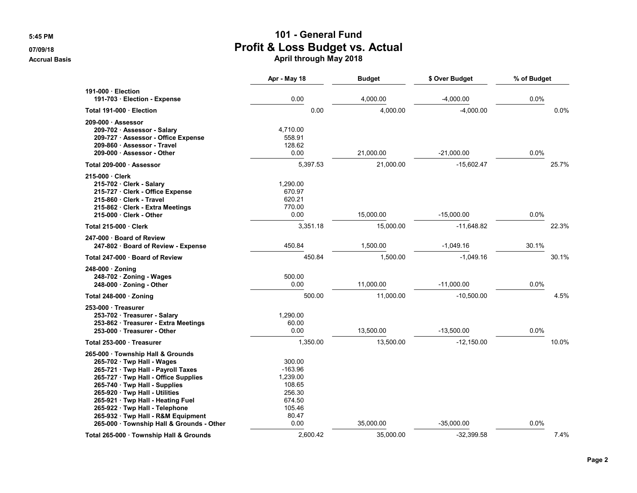|                                                                                                                                                                                                                                                                                                                                                                          | Apr - May 18                                                                             | <b>Budget</b> | \$ Over Budget | % of Budget |       |
|--------------------------------------------------------------------------------------------------------------------------------------------------------------------------------------------------------------------------------------------------------------------------------------------------------------------------------------------------------------------------|------------------------------------------------------------------------------------------|---------------|----------------|-------------|-------|
| 191-000 · Election<br>191-703 · Election - Expense                                                                                                                                                                                                                                                                                                                       | 0.00                                                                                     | 4,000.00      | $-4,000.00$    | 0.0%        |       |
| Total 191-000 · Election                                                                                                                                                                                                                                                                                                                                                 | 0.00                                                                                     | 4.000.00      | $-4,000.00$    |             | 0.0%  |
| 209-000 Assessor<br>209-702 · Assessor - Salary<br>209-727 · Assessor - Office Expense<br>209-860 · Assessor - Travel<br>209-000 · Assessor - Other                                                                                                                                                                                                                      | 4.710.00<br>558.91<br>128.62<br>0.00                                                     | 21,000.00     | $-21,000.00$   | 0.0%        |       |
| Total 209-000 · Assessor                                                                                                                                                                                                                                                                                                                                                 | 5,397.53                                                                                 | 21,000.00     | $-15,602.47$   |             | 25.7% |
| 215-000 · Clerk<br>215-702 Clerk - Salary<br>215-727 · Clerk - Office Expense<br>215-860 Clerk - Travel<br>215-862 Clerk - Extra Meetings<br>215-000 Clerk - Other                                                                                                                                                                                                       | 1,290.00<br>670.97<br>620.21<br>770.00<br>0.00                                           | 15,000.00     | $-15,000.00$   | 0.0%        |       |
| Total 215-000 · Clerk                                                                                                                                                                                                                                                                                                                                                    | 3,351.18                                                                                 | 15,000.00     | $-11,648.82$   |             | 22.3% |
| 247-000 · Board of Review<br>247-802 · Board of Review - Expense                                                                                                                                                                                                                                                                                                         | 450.84                                                                                   | 1,500.00      | $-1,049.16$    | 30.1%       |       |
| Total 247-000 · Board of Review                                                                                                                                                                                                                                                                                                                                          | 450.84                                                                                   | 1,500.00      | $-1,049.16$    |             | 30.1% |
| $248-000 \cdot$ Zoning<br>$248-702 \cdot$ Zoning - Wages<br>$248-000 \cdot$ Zoning - Other                                                                                                                                                                                                                                                                               | 500.00<br>0.00                                                                           | 11,000.00     | $-11,000.00$   | 0.0%        |       |
| Total 248-000 $\cdot$ Zoning                                                                                                                                                                                                                                                                                                                                             | 500.00                                                                                   | 11,000.00     | $-10,500.00$   |             | 4.5%  |
| 253-000 Treasurer<br>253-702 Treasurer - Salary<br>253-862 · Treasurer - Extra Meetings<br>253-000 · Treasurer - Other                                                                                                                                                                                                                                                   | 1.290.00<br>60.00<br>0.00                                                                | 13,500.00     | $-13,500.00$   | 0.0%        |       |
| Total 253-000 Treasurer                                                                                                                                                                                                                                                                                                                                                  | 1,350.00                                                                                 | 13,500.00     | $-12,150.00$   |             | 10.0% |
| 265-000 Township Hall & Grounds<br>265-702 · Twp Hall - Wages<br>265-721 · Twp Hall - Payroll Taxes<br>265-727 · Twp Hall - Office Supplies<br>265-740 · Twp Hall - Supplies<br>265-920 · Twp Hall - Utilities<br>265-921 · Twp Hall - Heating Fuel<br>265-922 · Twp Hall - Telephone<br>265-932 · Twp Hall - R&M Equipment<br>265-000 · Township Hall & Grounds - Other | 300.00<br>$-163.96$<br>1,239.00<br>108.65<br>256.30<br>674.50<br>105.46<br>80.47<br>0.00 | 35,000.00     | $-35,000.00$   | 0.0%        |       |
| Total 265-000 · Township Hall & Grounds                                                                                                                                                                                                                                                                                                                                  | 2.600.42                                                                                 | 35.000.00     | -32,399.58     |             | 7.4%  |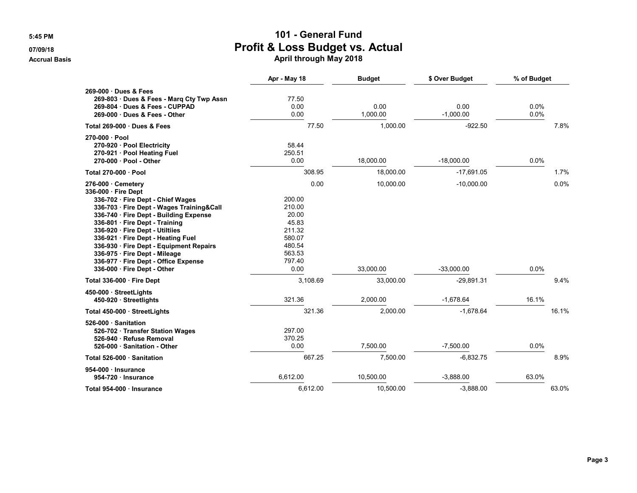|                                                                                                                                                                                                                                                                                                                                                                                                                                                          | Apr - May 18                                                                                                     | <b>Budget</b>                       | \$ Over Budget                               | % of Budget  |              |
|----------------------------------------------------------------------------------------------------------------------------------------------------------------------------------------------------------------------------------------------------------------------------------------------------------------------------------------------------------------------------------------------------------------------------------------------------------|------------------------------------------------------------------------------------------------------------------|-------------------------------------|----------------------------------------------|--------------|--------------|
| 269-000 Dues & Fees<br>269-803 · Dues & Fees - Marg Cty Twp Assn<br>269-804 Dues & Fees - CUPPAD<br>269-000 Dues & Fees - Other                                                                                                                                                                                                                                                                                                                          | 77.50<br>0.00<br>0.00                                                                                            | 0.00<br>1,000.00                    | 0.00<br>$-1,000.00$                          | 0.0%<br>0.0% |              |
| Total 269-000 Dues & Fees                                                                                                                                                                                                                                                                                                                                                                                                                                | 77.50                                                                                                            | 1,000.00                            | $-922.50$                                    |              | 7.8%         |
| 270-000 · Pool<br>270-920 · Pool Electricity<br>270-921 · Pool Heating Fuel<br>270-000 · Pool - Other                                                                                                                                                                                                                                                                                                                                                    | 58.44<br>250.51<br>0.00                                                                                          | 18,000.00                           | $-18,000.00$                                 | 0.0%         |              |
| Total 270-000 · Pool                                                                                                                                                                                                                                                                                                                                                                                                                                     | 308.95                                                                                                           | 18,000.00                           | $-17,691.05$                                 |              | 1.7%         |
| 276-000 Cemetery<br>336-000 Fire Dept<br>336-702 · Fire Dept - Chief Wages<br>336-703 · Fire Dept - Wages Training&Call<br>336-740 · Fire Dept - Building Expense<br>336-801 · Fire Dept - Training<br>336-920 · Fire Dept - Utiltiies<br>336-921 · Fire Dept - Heating Fuel<br>336-930 Fire Dept - Equipment Repairs<br>336-975 · Fire Dept - Mileage<br>336-977 · Fire Dept - Office Expense<br>336-000 Fire Dept - Other<br>Total 336-000 · Fire Dept | 0.00<br>200.00<br>210.00<br>20.00<br>45.83<br>211.32<br>580.07<br>480.54<br>563.53<br>797.40<br>0.00<br>3,108.69 | 10,000.00<br>33,000.00<br>33,000.00 | $-10,000.00$<br>$-33,000.00$<br>$-29,891.31$ | 0.0%         | 0.0%<br>9.4% |
| 450-000 StreetLights<br>450-920 Streetlights                                                                                                                                                                                                                                                                                                                                                                                                             | 321.36                                                                                                           | 2.000.00                            | $-1.678.64$                                  | 16.1%        |              |
| Total 450-000 · StreetLights                                                                                                                                                                                                                                                                                                                                                                                                                             | 321.36                                                                                                           | 2,000.00                            | $-1,678.64$                                  |              | 16.1%        |
| 526-000 · Sanitation<br>526-702 Transfer Station Wages<br>526-940 · Refuse Removal<br>526-000 Sanitation - Other                                                                                                                                                                                                                                                                                                                                         | 297.00<br>370.25<br>0.00                                                                                         | 7,500.00                            | $-7,500.00$                                  | 0.0%         |              |
| Total 526-000 Sanitation                                                                                                                                                                                                                                                                                                                                                                                                                                 | 667.25                                                                                                           | 7,500.00                            | $-6,832.75$                                  |              | 8.9%         |
| 954-000 · Insurance<br>954-720 Insurance                                                                                                                                                                                                                                                                                                                                                                                                                 | 6,612.00                                                                                                         | 10,500.00                           | $-3,888.00$                                  | 63.0%        |              |
| Total 954-000 Insurance                                                                                                                                                                                                                                                                                                                                                                                                                                  | 6,612.00                                                                                                         | 10,500.00                           | $-3,888.00$                                  |              | 63.0%        |